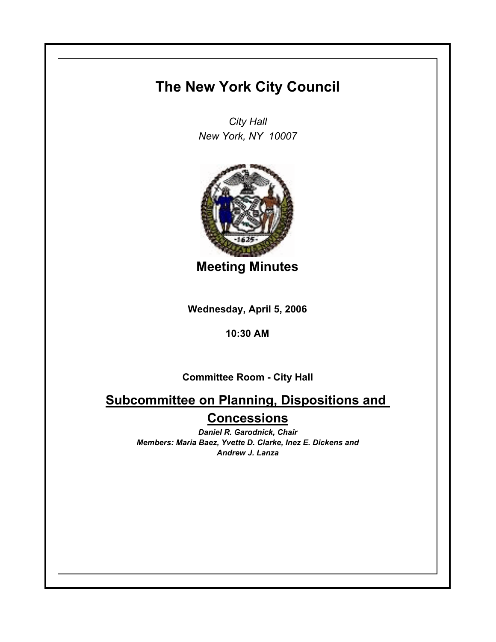## **The New York City Council**

*City Hall New York, NY 10007*



**Meeting Minutes**

**Wednesday, April 5, 2006**

## **10:30 AM**

**Committee Room - City Hall**

**Subcommittee on Planning, Dispositions and Concessions**

> *Daniel R. Garodnick, Chair Members: Maria Baez, Yvette D. Clarke, Inez E. Dickens and Andrew J. Lanza*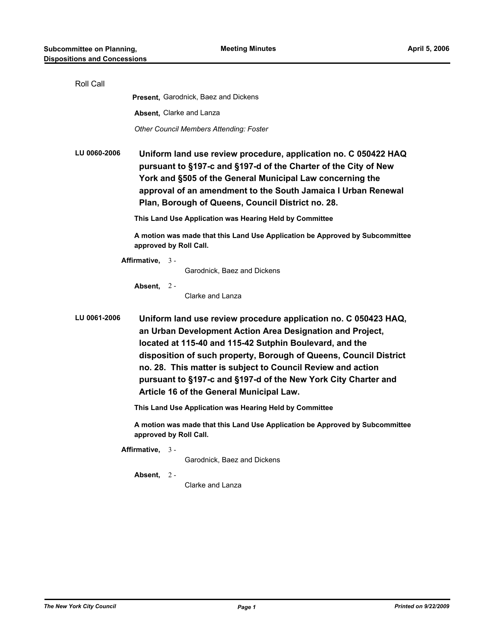| Roll Call    |                                                                                                                                                                                                                                                                                                                                                                                                                                           |
|--------------|-------------------------------------------------------------------------------------------------------------------------------------------------------------------------------------------------------------------------------------------------------------------------------------------------------------------------------------------------------------------------------------------------------------------------------------------|
|              | <b>Present, Garodnick, Baez and Dickens</b>                                                                                                                                                                                                                                                                                                                                                                                               |
|              | Absent, Clarke and Lanza                                                                                                                                                                                                                                                                                                                                                                                                                  |
|              | <b>Other Council Members Attending: Foster</b>                                                                                                                                                                                                                                                                                                                                                                                            |
| LU 0060-2006 | Uniform land use review procedure, application no. C 050422 HAQ<br>pursuant to §197-c and §197-d of the Charter of the City of New<br>York and §505 of the General Municipal Law concerning the<br>approval of an amendment to the South Jamaica I Urban Renewal<br>Plan, Borough of Queens, Council District no. 28.                                                                                                                     |
|              | This Land Use Application was Hearing Held by Committee                                                                                                                                                                                                                                                                                                                                                                                   |
|              | A motion was made that this Land Use Application be Approved by Subcommittee<br>approved by Roll Call.                                                                                                                                                                                                                                                                                                                                    |
|              | Affirmative, $3 -$                                                                                                                                                                                                                                                                                                                                                                                                                        |
|              | Garodnick, Baez and Dickens                                                                                                                                                                                                                                                                                                                                                                                                               |
|              | Absent, 2-<br>Clarke and Lanza                                                                                                                                                                                                                                                                                                                                                                                                            |
| LU 0061-2006 | Uniform land use review procedure application no. C 050423 HAQ,<br>an Urban Development Action Area Designation and Project,<br>located at 115-40 and 115-42 Sutphin Boulevard, and the<br>disposition of such property, Borough of Queens, Council District<br>no. 28. This matter is subject to Council Review and action<br>pursuant to §197-c and §197-d of the New York City Charter and<br>Article 16 of the General Municipal Law. |
|              | This Land Use Application was Hearing Held by Committee                                                                                                                                                                                                                                                                                                                                                                                   |
|              | A motion was made that this Land Use Application be Approved by Subcommittee<br>approved by Roll Call.                                                                                                                                                                                                                                                                                                                                    |
|              | Affirmative, $3 -$<br>Garodnick, Baez and Dickens                                                                                                                                                                                                                                                                                                                                                                                         |
|              | Absent, 2-<br>Clarke and Lanza                                                                                                                                                                                                                                                                                                                                                                                                            |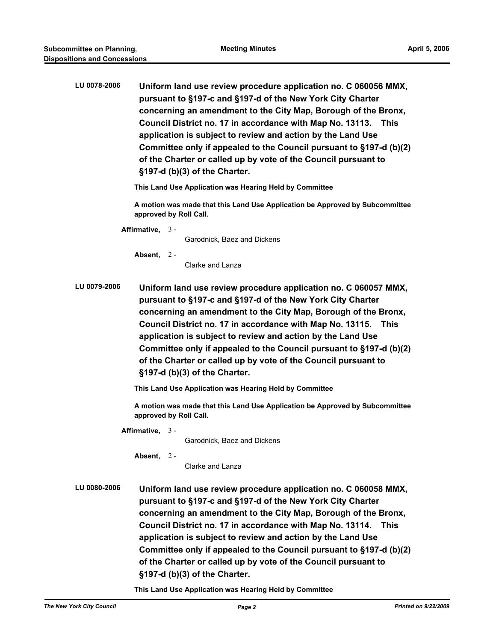| LU 0078-2006 | Uniform land use review procedure application no. C 060056 MMX,<br>pursuant to §197-c and §197-d of the New York City Charter<br>concerning an amendment to the City Map, Borough of the Bronx,<br>Council District no. 17 in accordance with Map No. 13113. This<br>application is subject to review and action by the Land Use<br>Committee only if appealed to the Council pursuant to §197-d (b)(2)<br>of the Charter or called up by vote of the Council pursuant to<br>§197-d (b)(3) of the Charter. |
|--------------|------------------------------------------------------------------------------------------------------------------------------------------------------------------------------------------------------------------------------------------------------------------------------------------------------------------------------------------------------------------------------------------------------------------------------------------------------------------------------------------------------------|
|              | This Land Use Application was Hearing Held by Committee                                                                                                                                                                                                                                                                                                                                                                                                                                                    |
|              | A motion was made that this Land Use Application be Approved by Subcommittee<br>approved by Roll Call.                                                                                                                                                                                                                                                                                                                                                                                                     |
|              | Affirmative, $3 -$<br>Garodnick, Baez and Dickens                                                                                                                                                                                                                                                                                                                                                                                                                                                          |
|              | Absent, $2 -$<br>Clarke and Lanza                                                                                                                                                                                                                                                                                                                                                                                                                                                                          |
| LU 0079-2006 | Uniform land use review procedure application no. C 060057 MMX,<br>pursuant to §197-c and §197-d of the New York City Charter<br>concerning an amendment to the City Map, Borough of the Bronx,<br>Council District no. 17 in accordance with Map No. 13115. This<br>application is subject to review and action by the Land Use<br>Committee only if appealed to the Council pursuant to §197-d (b)(2)<br>of the Charter or called up by vote of the Council pursuant to<br>§197-d (b)(3) of the Charter. |
|              | This Land Use Application was Hearing Held by Committee                                                                                                                                                                                                                                                                                                                                                                                                                                                    |
|              | A motion was made that this Land Use Application be Approved by Subcommittee<br>approved by Roll Call.                                                                                                                                                                                                                                                                                                                                                                                                     |
|              | Affirmative. $3 -$<br>Garodnick, Baez and Dickens<br>Absent, $2 -$<br>Clarke and Lanza                                                                                                                                                                                                                                                                                                                                                                                                                     |
| LU 0080-2006 | Uniform land use review procedure application no. C 060058 MMX,<br>pursuant to §197-c and §197-d of the New York City Charter<br>concerning an amendment to the City Map, Borough of the Bronx,<br>Council District no. 17 in accordance with Map No. 13114. This<br>application is subject to review and action by the Land Use<br>Committee only if appealed to the Council pursuant to §197-d (b)(2)<br>of the Charter or called up by vote of the Council pursuant to<br>§197-d (b)(3) of the Charter. |

**This Land Use Application was Hearing Held by Committee**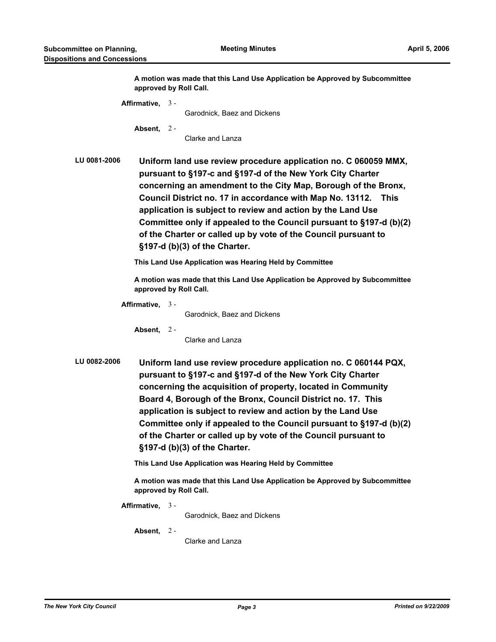**A motion was made that this Land Use Application be Approved by Subcommittee approved by Roll Call.**

**Affirmative,** 3 - Garodnick, Baez and Dickens **Absent,** 2 - Clarke and Lanza **LU 0081-2006 Uniform land use review procedure application no. C 060059 MMX, pursuant to §197-c and §197-d of the New York City Charter concerning an amendment to the City Map, Borough of the Bronx, Council District no. 17 in accordance with Map No. 13112. This application is subject to review and action by the Land Use Committee only if appealed to the Council pursuant to §197-d (b)(2) of the Charter or called up by vote of the Council pursuant to §197-d (b)(3) of the Charter. This Land Use Application was Hearing Held by Committee A motion was made that this Land Use Application be Approved by Subcommittee approved by Roll Call. Affirmative,** 3 - Garodnick, Baez and Dickens **Absent,** 2 - Clarke and Lanza **LU 0082-2006 Uniform land use review procedure application no. C 060144 PQX, pursuant to §197-c and §197-d of the New York City Charter concerning the acquisition of property, located in Community Board 4, Borough of the Bronx, Council District no. 17. This application is subject to review and action by the Land Use Committee only if appealed to the Council pursuant to §197-d (b)(2) of the Charter or called up by vote of the Council pursuant to §197-d (b)(3) of the Charter.**

**This Land Use Application was Hearing Held by Committee**

**A motion was made that this Land Use Application be Approved by Subcommittee approved by Roll Call.**

**Affirmative,** 3 -

Garodnick, Baez and Dickens

**Absent,** 2 -

Clarke and Lanza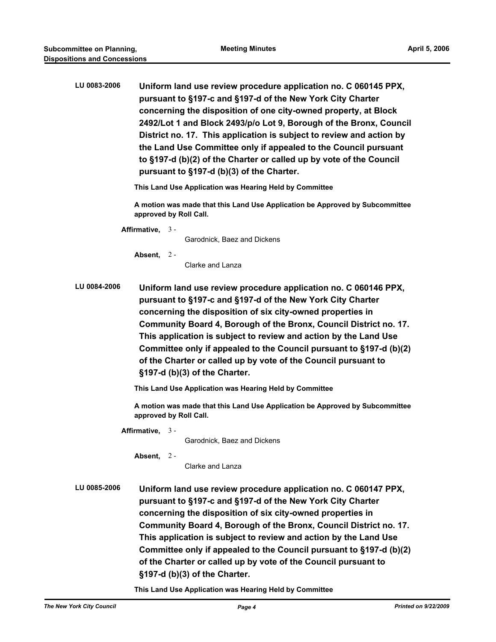| LU 0083-2006 | Uniform land use review procedure application no. C 060145 PPX,<br>pursuant to §197-c and §197-d of the New York City Charter<br>concerning the disposition of one city-owned property, at Block<br>2492/Lot 1 and Block 2493/p/o Lot 9, Borough of the Bronx, Council<br>District no. 17. This application is subject to review and action by<br>the Land Use Committee only if appealed to the Council pursuant<br>to §197-d (b)(2) of the Charter or called up by vote of the Council<br>pursuant to §197-d (b)(3) of the Charter. |
|--------------|---------------------------------------------------------------------------------------------------------------------------------------------------------------------------------------------------------------------------------------------------------------------------------------------------------------------------------------------------------------------------------------------------------------------------------------------------------------------------------------------------------------------------------------|
|              | This Land Use Application was Hearing Held by Committee                                                                                                                                                                                                                                                                                                                                                                                                                                                                               |
|              | A motion was made that this Land Use Application be Approved by Subcommittee<br>approved by Roll Call.                                                                                                                                                                                                                                                                                                                                                                                                                                |
|              | Affirmative, 3-<br>Garodnick, Baez and Dickens                                                                                                                                                                                                                                                                                                                                                                                                                                                                                        |
|              | Absent, $2 -$<br>Clarke and Lanza                                                                                                                                                                                                                                                                                                                                                                                                                                                                                                     |
| LU 0084-2006 | Uniform land use review procedure application no. C 060146 PPX,<br>pursuant to §197-c and §197-d of the New York City Charter<br>concerning the disposition of six city-owned properties in<br>Community Board 4, Borough of the Bronx, Council District no. 17.<br>This application is subject to review and action by the Land Use<br>Committee only if appealed to the Council pursuant to §197-d (b)(2)<br>of the Charter or called up by vote of the Council pursuant to<br>§197-d (b)(3) of the Charter.                        |
|              | This Land Use Application was Hearing Held by Committee                                                                                                                                                                                                                                                                                                                                                                                                                                                                               |
|              | A motion was made that this Land Use Application be Approved by Subcommittee<br>approved by Roll Call.                                                                                                                                                                                                                                                                                                                                                                                                                                |
|              | Affirmative, $3 -$<br>Garodnick, Baez and Dickens<br>Absent, 2-<br>Clarke and Lanza                                                                                                                                                                                                                                                                                                                                                                                                                                                   |
| LU 0085-2006 | Uniform land use review procedure application no. C 060147 PPX,<br>pursuant to §197-c and §197-d of the New York City Charter<br>concerning the disposition of six city-owned properties in<br>Community Board 4, Borough of the Bronx, Council District no. 17.<br>This application is subject to review and action by the Land Use<br>Committee only if appealed to the Council pursuant to §197-d (b)(2)<br>of the Charter or called up by vote of the Council pursuant to<br>§197-d (b)(3) of the Charter.                        |

**This Land Use Application was Hearing Held by Committee**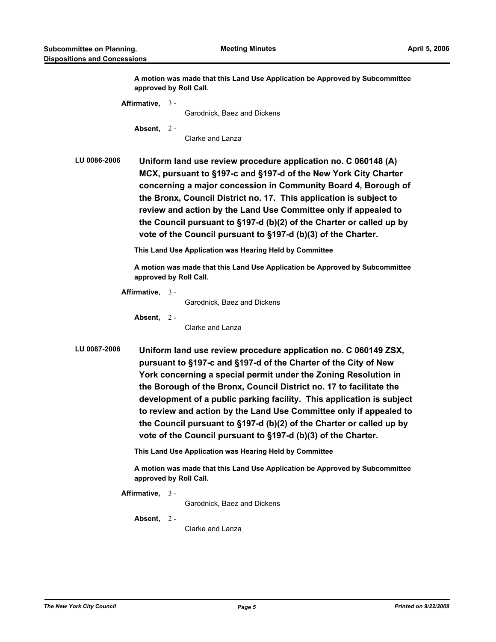**A motion was made that this Land Use Application be Approved by Subcommittee approved by Roll Call.**

**Affirmative,** 3 -

Garodnick, Baez and Dickens

**Absent,** 2 -

Clarke and Lanza

**LU 0086-2006 Uniform land use review procedure application no. C 060148 (A) MCX, pursuant to §197-c and §197-d of the New York City Charter concerning a major concession in Community Board 4, Borough of the Bronx, Council District no. 17. This application is subject to review and action by the Land Use Committee only if appealed to the Council pursuant to §197-d (b)(2) of the Charter or called up by vote of the Council pursuant to §197-d (b)(3) of the Charter.**

**This Land Use Application was Hearing Held by Committee**

**A motion was made that this Land Use Application be Approved by Subcommittee approved by Roll Call.**

**Affirmative,** 3 -

Garodnick, Baez and Dickens

**Absent,** 2 -

Clarke and Lanza

**LU 0087-2006 Uniform land use review procedure application no. C 060149 ZSX, pursuant to §197-c and §197-d of the Charter of the City of New York concerning a special permit under the Zoning Resolution in the Borough of the Bronx, Council District no. 17 to facilitate the development of a public parking facility. This application is subject to review and action by the Land Use Committee only if appealed to the Council pursuant to §197-d (b)(2) of the Charter or called up by vote of the Council pursuant to §197-d (b)(3) of the Charter.**

**This Land Use Application was Hearing Held by Committee**

**A motion was made that this Land Use Application be Approved by Subcommittee approved by Roll Call.**

**Affirmative,** 3 -

Garodnick, Baez and Dickens

**Absent,** 2 -

Clarke and Lanza